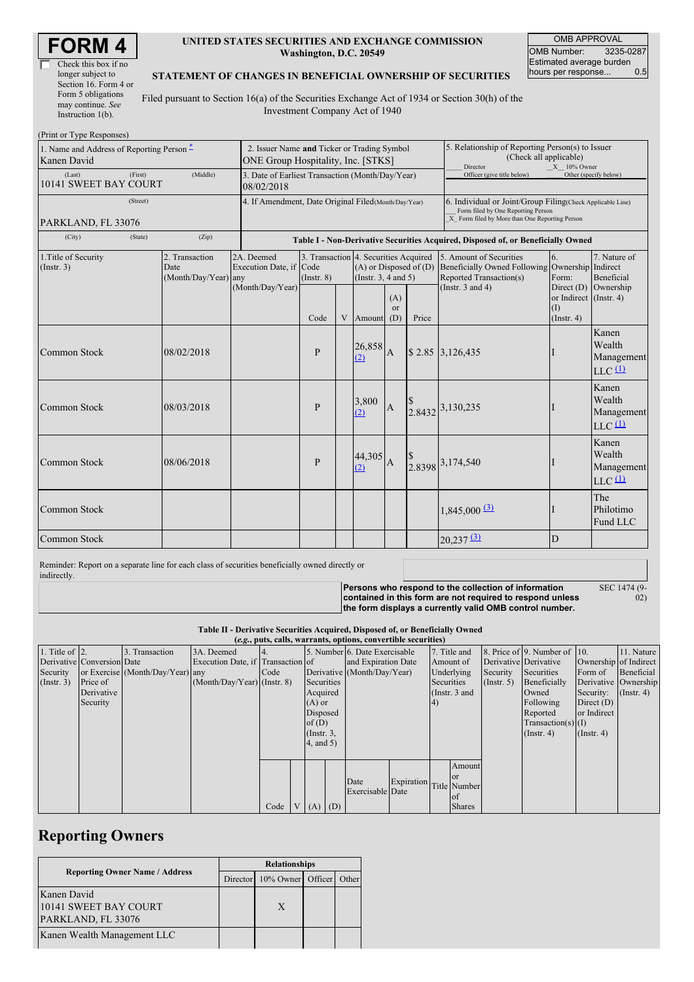| Check this box if no  |
|-----------------------|
| longer subject to     |
| Section 16. Form 4 or |
| Form 5 obligations    |
| may continue. See     |
| Instruction $1(b)$ .  |

### **UNITED STATES SECURITIES AND EXCHANGE COMMISSION Washington, D.C. 20549**

OMB APPROVAL OMB Number: 3235-0287 Estimated average burden<br>hours per response... 0.5 hours per response...

#### **STATEMENT OF CHANGES IN BENEFICIAL OWNERSHIP OF SECURITIES**

Filed pursuant to Section 16(a) of the Securities Exchange Act of 1934 or Section 30(h) of the Investment Company Act of 1940

| (Print or Type Responses)                                |                                                                                   |                                                |                                                           |                                                                                  |   |                                                                                                                                                    |                                                                                                            |       |                                                                                                                    |                                                                                        |                                                                    |
|----------------------------------------------------------|-----------------------------------------------------------------------------------|------------------------------------------------|-----------------------------------------------------------|----------------------------------------------------------------------------------|---|----------------------------------------------------------------------------------------------------------------------------------------------------|------------------------------------------------------------------------------------------------------------|-------|--------------------------------------------------------------------------------------------------------------------|----------------------------------------------------------------------------------------|--------------------------------------------------------------------|
| 1. Name and Address of Reporting Person -<br>Kanen David | 2. Issuer Name and Ticker or Trading Symbol<br>ONE Group Hospitality, Inc. [STKS] |                                                |                                                           |                                                                                  |   |                                                                                                                                                    | 5. Relationship of Reporting Person(s) to Issuer<br>(Check all applicable)<br>Director<br>$X = 10\%$ Owner |       |                                                                                                                    |                                                                                        |                                                                    |
| (Last)<br>10141 SWEET BAY COURT                          | 3. Date of Earliest Transaction (Month/Day/Year)<br>08/02/2018                    |                                                |                                                           |                                                                                  |   |                                                                                                                                                    | Officer (give title below)                                                                                 |       | Other (specify below)                                                                                              |                                                                                        |                                                                    |
| PARKLAND, FL 33076                                       | 4. If Amendment, Date Original Filed (Month/Day/Year)                             |                                                |                                                           |                                                                                  |   | 6. Individual or Joint/Group Filing(Check Applicable Line)<br>Form filed by One Reporting Person<br>X Form filed by More than One Reporting Person |                                                                                                            |       |                                                                                                                    |                                                                                        |                                                                    |
| (City)<br>(Zip)<br>(State)                               |                                                                                   |                                                |                                                           | Table I - Non-Derivative Securities Acquired, Disposed of, or Beneficially Owned |   |                                                                                                                                                    |                                                                                                            |       |                                                                                                                    |                                                                                        |                                                                    |
| 1. Title of Security<br>(Insert. 3)                      |                                                                                   | 2. Transaction<br>Date<br>(Month/Day/Year) any | 2A. Deemed<br>Execution Date, if Code<br>(Month/Day/Year) | 3. Transaction 4. Securities Acquired<br>$($ Instr. $8)$<br>Code                 | V | $(A)$ or Disposed of $(D)$<br>(Instr. $3, 4$ and $5$ )<br>Amount                                                                                   | (A)<br><sub>or</sub><br>(D)                                                                                | Price | 5. Amount of Securities<br><b>Beneficially Owned Following</b><br>Reported Transaction(s)<br>(Instr. $3$ and $4$ ) | 6.<br>Ownership Indirect<br>Form:<br>or Indirect (Instr. 4)<br>(1)<br>$($ Instr. 4 $)$ | 7. Nature of<br><b>Beneficial</b><br>Direct $(D)$ Ownership        |
| Common Stock                                             |                                                                                   | 08/02/2018                                     |                                                           | $\mathbf{P}$                                                                     |   | 26,858<br>(2)                                                                                                                                      | $\overline{A}$                                                                                             |       | \$2.85 3,126,435                                                                                                   |                                                                                        | Kanen<br>Wealth<br>Management<br>$LLC$ <sup><math>(1)</math></sup> |
| Common Stock                                             |                                                                                   | 08/03/2018                                     |                                                           | $\mathbf{P}$                                                                     |   | 3,800<br>(2)                                                                                                                                       | $\overline{A}$                                                                                             |       | 2.8432 3,130,235                                                                                                   |                                                                                        | Kanen<br>Wealth<br>Management<br>$LLC$ <sup><math>(1)</math></sup> |
| <b>Common Stock</b>                                      |                                                                                   | 08/06/2018                                     |                                                           | P                                                                                |   | 44,305<br>(2)                                                                                                                                      | $\overline{A}$                                                                                             |       | $\begin{array}{c} \n\text{\$} \\ \n2.8398 \n\end{array}$ 3,174,540                                                 |                                                                                        | Kanen<br>Wealth<br>Management<br>$LLC$ <sup><math>(1)</math></sup> |
| Common Stock                                             |                                                                                   |                                                |                                                           |                                                                                  |   |                                                                                                                                                    |                                                                                                            |       | $1,845,000$ $\underline{^{(3)}}$                                                                                   |                                                                                        | The<br>Philotimo<br>Fund LLC                                       |
| <b>Common Stock</b>                                      |                                                                                   |                                                |                                                           |                                                                                  |   |                                                                                                                                                    |                                                                                                            |       | $20,237$ <sup>(3)</sup>                                                                                            | D                                                                                      |                                                                    |

Reminder: Report on a separate line for each class of securities beneficially owned directly or indirectly.

**Persons who respond to the collection of information**

SEC 1474 (9- 02)

**contained in this form are not required to respond unless the form displays a currently valid OMB control number.**

**Table II - Derivative Securities Acquired, Disposed of, or Beneficially Owned**

| (e.g., puts, calls, warrants, options, convertible securities) |                            |                                  |                                   |      |  |                 |                             |                                |            |                 |               |                       |                              |                      |               |
|----------------------------------------------------------------|----------------------------|----------------------------------|-----------------------------------|------|--|-----------------|-----------------------------|--------------------------------|------------|-----------------|---------------|-----------------------|------------------------------|----------------------|---------------|
| 1. Title of $\vert$ 2.                                         |                            | 3. Transaction                   | 3A. Deemed                        |      |  |                 |                             | 5. Number 6. Date Exercisable  |            |                 | 7. Title and  |                       | 8. Price of 9. Number of 10. |                      | 11. Nature    |
|                                                                | Derivative Conversion Date |                                  | Execution Date, if Transaction of |      |  |                 | and Expiration Date         |                                | Amount of  |                 |               | Derivative Derivative | Ownership of Indirect        |                      |               |
| Security                                                       |                            | or Exercise (Month/Day/Year) any |                                   | Code |  |                 | Derivative (Month/Day/Year) |                                | Underlying |                 | Security      | Securities            | Form of                      | Beneficial           |               |
| (Insert. 3)                                                    | Price of                   |                                  | $(Month/Day/Year)$ (Instr. 8)     |      |  | Securities      |                             |                                |            | Securities      |               | $($ Instr. 5)         | Beneficially                 | Derivative Ownership |               |
|                                                                | Derivative                 |                                  |                                   |      |  | Acquired        |                             |                                |            | (Instr. $3$ and |               |                       | Owned                        | Security:            | $($ Instr. 4) |
|                                                                | Security                   |                                  |                                   |      |  | $(A)$ or        |                             |                                |            | 4)              |               |                       | Following                    | Direct $(D)$         |               |
|                                                                |                            |                                  |                                   |      |  | Disposed        |                             |                                |            |                 |               |                       | Reported                     | or Indirect          |               |
|                                                                |                            |                                  |                                   |      |  | of $(D)$        |                             |                                |            |                 |               |                       | $Transaction(s)$ (I)         |                      |               |
|                                                                |                            |                                  |                                   |      |  | $($ Instr. $3,$ |                             |                                |            |                 |               |                       | $($ Instr. 4 $)$             | (Insert 4)           |               |
|                                                                |                            |                                  |                                   |      |  | $4$ , and $5$ ) |                             |                                |            |                 |               |                       |                              |                      |               |
|                                                                |                            |                                  |                                   |      |  |                 |                             |                                |            |                 |               |                       |                              |                      |               |
|                                                                |                            |                                  |                                   |      |  |                 |                             |                                |            |                 | Amount        |                       |                              |                      |               |
|                                                                |                            |                                  |                                   |      |  |                 |                             | Date                           |            |                 | <sub>or</sub> |                       |                              |                      |               |
|                                                                |                            |                                  |                                   |      |  |                 |                             | Expiration<br>Exercisable Date |            | Title Number    |               |                       |                              |                      |               |
|                                                                |                            |                                  |                                   |      |  |                 |                             |                                |            |                 | of            |                       |                              |                      |               |
|                                                                |                            |                                  |                                   | Code |  | $V(A)$ (D)      |                             |                                |            |                 | <b>Shares</b> |                       |                              |                      |               |

## **Reporting Owners**

|                                                            | <b>Relationships</b> |                   |  |       |  |  |
|------------------------------------------------------------|----------------------|-------------------|--|-------|--|--|
| <b>Reporting Owner Name / Address</b>                      | Director             | 10% Owner Officer |  | Other |  |  |
| Kanen David<br>10141 SWEET BAY COURT<br>PARKLAND, FL 33076 |                      | X                 |  |       |  |  |
| Kanen Wealth Management LLC                                |                      |                   |  |       |  |  |